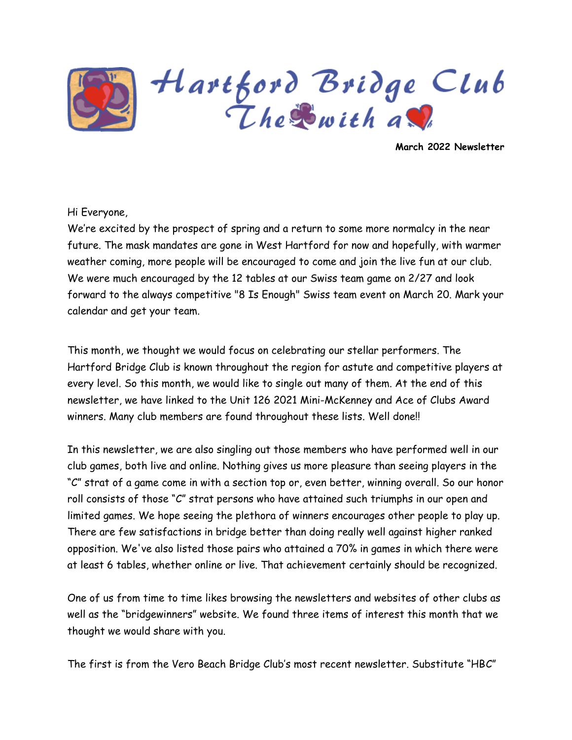

Hartford Bridge Club<br>The Swith as

**March 2022 Newsletter**

#### Hi Everyone,

We're excited by the prospect of spring and a return to some more normalcy in the near future. The mask mandates are gone in West Hartford for now and hopefully, with warmer weather coming, more people will be encouraged to come and join the live fun at our club. We were much encouraged by the 12 tables at our Swiss team game on 2/27 and look forward to the always competitive "8 Is Enough" Swiss team event on March 20. Mark your calendar and get your team.

This month, we thought we would focus on celebrating our stellar performers. The Hartford Bridge Club is known throughout the region for astute and competitive players at every level. So this month, we would like to single out many of them. At the end of this newsletter, we have linked to the Unit 126 2021 Mini-McKenney and Ace of Clubs Award winners. Many club members are found throughout these lists. Well done!!

In this newsletter, we are also singling out those members who have performed well in our club games, both live and online. Nothing gives us more pleasure than seeing players in the "C" strat of a game come in with a section top or, even better, winning overall. So our honor roll consists of those "C" strat persons who have attained such triumphs in our open and limited games. We hope seeing the plethora of winners encourages other people to play up. There are few satisfactions in bridge better than doing really well against higher ranked opposition. We've also listed those pairs who attained a 70% in games in which there were at least 6 tables, whether online or live. That achievement certainly should be recognized.

One of us from time to time likes browsing the newsletters and websites of other clubs as well as the "bridgewinners" website. We found three items of interest this month that we thought we would share with you.

The first is from the Vero Beach Bridge Club's most recent newsletter. Substitute "HBC"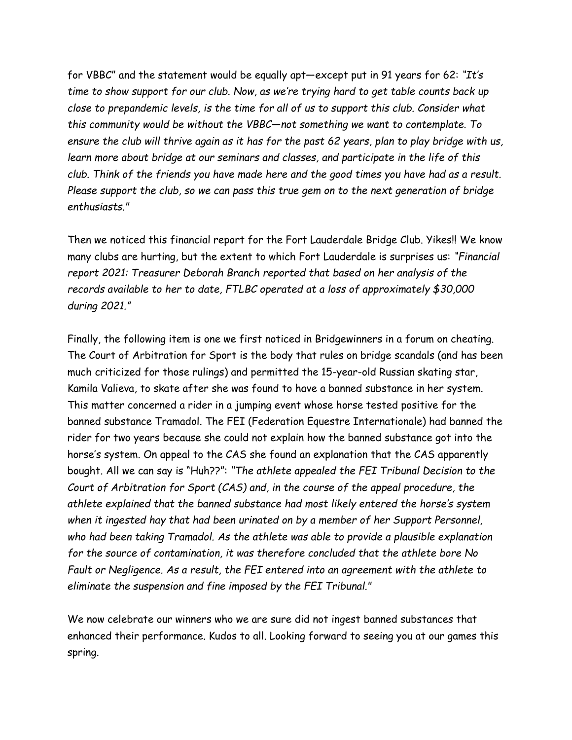for VBBC" and the statement would be equally apt—except put in 91 years for 62: *"It's time to show support for our club. Now, as we're trying hard to get table counts back up close to prepandemic levels, is the time for all of us to support this club. Consider what this community would be without the VBBC—not something we want to contemplate. To ensure the club will thrive again as it has for the past 62 years, plan to play bridge with us, learn more about bridge at our seminars and classes, and participate in the life of this club. Think of the friends you have made here and the good times you have had as a result. Please support the club, so we can pass this true gem on to the next generation of bridge enthusiasts."*

Then we noticed this financial report for the Fort Lauderdale Bridge Club. Yikes!! We know many clubs are hurting, but the extent to which Fort Lauderdale is surprises us: *"Financial report 2021: Treasurer Deborah Branch reported that based on her analysis of the records available to her to date, FTLBC operated at a loss of approximately \$30,000 during 2021."* 

Finally, the following item is one we first noticed in Bridgewinners in a forum on cheating. The Court of Arbitration for Sport is the body that rules on bridge scandals (and has been much criticized for those rulings) and permitted the 15-year-old Russian skating star, Kamila Valieva, to skate after she was found to have a banned substance in her system. This matter concerned a rider in a jumping event whose horse tested positive for the banned substance Tramadol. The FEI (Federation Equestre Internationale) had banned the rider for two years because she could not explain how the banned substance got into the horse's system. On appeal to the CAS she found an explanation that the CAS apparently bought. All we can say is "Huh??": *"The athlete appealed the FEI Tribunal Decision to the Court of Arbitration for Sport (CAS) and, in the course of the appeal procedure, the athlete explained that the banned substance had most likely entered the horse's system when it ingested hay that had been urinated on by a member of her Support Personnel, who had been taking Tramadol. As the athlete was able to provide a plausible explanation for the source of contamination, it was therefore concluded that the athlete bore No Fault or Negligence. As a result, the FEI entered into an agreement with the athlete to eliminate the suspension and fine imposed by the FEI Tribunal."*

We now celebrate our winners who we are sure did not ingest banned substances that enhanced their performance. Kudos to all. Looking forward to seeing you at our games this spring.